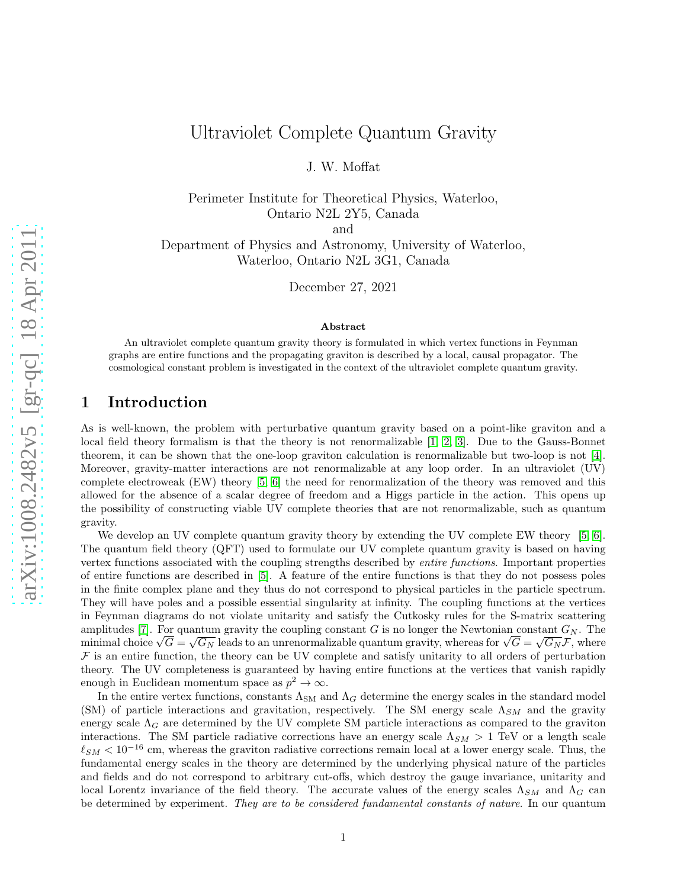# Ultraviolet Complete Quantum Gravity

J. W. Moffat

Perimeter Institute for Theoretical Physics, Waterloo, Ontario N2L 2Y5, Canada

and

Department of Physics and Astronomy, University of Waterloo, Waterloo, Ontario N2L 3G1, Canada

December 27, 2021

#### Abstract

An ultraviolet complete quantum gravity theory is formulated in which vertex functions in Feynman graphs are entire functions and the propagating graviton is described by a local, causal propagator. The cosmological constant problem is investigated in the context of the ultraviolet complete quantum gravity.

## 1 Introduction

As is well-known, the problem with perturbative quantum gravity based on a point-like graviton and a local field theory formalism is that the theory is not renormalizable [\[1,](#page-9-0) [2,](#page-9-1) [3\]](#page-9-2). Due to the Gauss-Bonnet theorem, it can be shown that the one-loop graviton calculation is renormalizable but two-loop is not [\[4\]](#page-9-3). Moreover, gravity-matter interactions are not renormalizable at any loop order. In an ultraviolet (UV) complete electroweak (EW) theory [\[5,](#page-9-4) [6\]](#page-9-5) the need for renormalization of the theory was removed and this allowed for the absence of a scalar degree of freedom and a Higgs particle in the action. This opens up the possibility of constructing viable UV complete theories that are not renormalizable, such as quantum gravity.

We develop an UV complete quantum gravity theory by extending the UV complete EW theory [\[5,](#page-9-4) [6\]](#page-9-5). The quantum field theory (QFT) used to formulate our UV complete quantum gravity is based on having vertex functions associated with the coupling strengths described by *entire functions*. Important properties of entire functions are described in [\[5\]](#page-9-4). A feature of the entire functions is that they do not possess poles in the finite complex plane and they thus do not correspond to physical particles in the particle spectrum. They will have poles and a possible essential singularity at infinity. The coupling functions at the vertices in Feynman diagrams do not violate unitarity and satisfy the Cutkosky rules for the S-matrix scattering amplitudes [\[7\]](#page-9-6). For quantum gravity the coupling constant G is no longer the Newtonian constant  $G_N$ . The minimal choice  $\sqrt{G} = \sqrt{G_N}$  leads to an unrenormalizable quantum gravity, whereas for  $\sqrt{G} = \sqrt{G_N} \mathcal{F}$ , where  $\mathcal F$  is an entire function, the theory can be UV complete and satisfy unitarity to all orders of perturbation theory. The UV completeness is guaranteed by having entire functions at the vertices that vanish rapidly enough in Euclidean momentum space as  $p^2 \to \infty$ .

In the entire vertex functions, constants  $\Lambda_{\text{SM}}$  and  $\Lambda_G$  determine the energy scales in the standard model (SM) of particle interactions and gravitation, respectively. The SM energy scale  $\Lambda_{SM}$  and the gravity energy scale  $\Lambda_G$  are determined by the UV complete SM particle interactions as compared to the graviton interactions. The SM particle radiative corrections have an energy scale  $\Lambda_{SM} > 1$  TeV or a length scale  $\ell_{SM}$  < 10<sup>-16</sup> cm, whereas the graviton radiative corrections remain local at a lower energy scale. Thus, the fundamental energy scales in the theory are determined by the underlying physical nature of the particles and fields and do not correspond to arbitrary cut-offs, which destroy the gauge invariance, unitarity and local Lorentz invariance of the field theory. The accurate values of the energy scales  $\Lambda_{SM}$  and  $\Lambda_G$  can be determined by experiment. *They are to be considered fundamental constants of nature*. In our quantum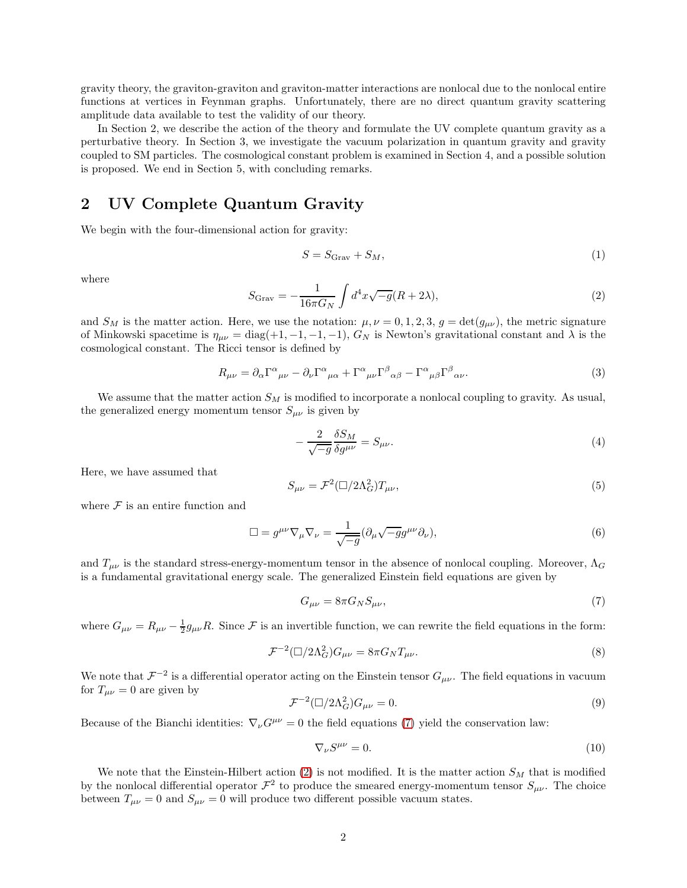gravity theory, the graviton-graviton and graviton-matter interactions are nonlocal due to the nonlocal entire functions at vertices in Feynman graphs. Unfortunately, there are no direct quantum gravity scattering amplitude data available to test the validity of our theory.

In Section 2, we describe the action of the theory and formulate the UV complete quantum gravity as a perturbative theory. In Section 3, we investigate the vacuum polarization in quantum gravity and gravity coupled to SM particles. The cosmological constant problem is examined in Section 4, and a possible solution is proposed. We end in Section 5, with concluding remarks.

## 2 UV Complete Quantum Gravity

We begin with the four-dimensional action for gravity:

$$
S = S_{\text{Graw}} + S_M,\tag{1}
$$

where

<span id="page-1-1"></span>
$$
S_{\text{Graw}} = -\frac{1}{16\pi G_N} \int d^4x \sqrt{-g}(R+2\lambda),\tag{2}
$$

and  $S_M$  is the matter action. Here, we use the notation:  $\mu, \nu = 0, 1, 2, 3, g = \det(g_{\mu\nu})$ , the metric signature of Minkowski spacetime is  $\eta_{\mu\nu} = \text{diag}(+1, -1, -1, -1)$ ,  $G_N$  is Newton's gravitational constant and  $\lambda$  is the cosmological constant. The Ricci tensor is defined by

$$
R_{\mu\nu} = \partial_{\alpha} \Gamma^{\alpha}{}_{\mu\nu} - \partial_{\nu} \Gamma^{\alpha}{}_{\mu\alpha} + \Gamma^{\alpha}{}_{\mu\nu} \Gamma^{\beta}{}_{\alpha\beta} - \Gamma^{\alpha}{}_{\mu\beta} \Gamma^{\beta}{}_{\alpha\nu}.
$$
 (3)

We assume that the matter action  $S_M$  is modified to incorporate a nonlocal coupling to gravity. As usual, the generalized energy momentum tensor  $S_{\mu\nu}$  is given by

$$
-\frac{2}{\sqrt{-g}}\frac{\delta S_M}{\delta g^{\mu\nu}} = S_{\mu\nu}.\tag{4}
$$

Here, we have assumed that

$$
S_{\mu\nu} = \mathcal{F}^2(\Box/2\Lambda_G^2)T_{\mu\nu},\tag{5}
$$

where  $\mathcal F$  is an entire function and

$$
\Box = g^{\mu\nu}\nabla_{\mu}\nabla_{\nu} = \frac{1}{\sqrt{-g}}(\partial_{\mu}\sqrt{-g}g^{\mu\nu}\partial_{\nu}),\tag{6}
$$

and  $T_{\mu\nu}$  is the standard stress-energy-momentum tensor in the absence of nonlocal coupling. Moreover,  $\Lambda_G$ is a fundamental gravitational energy scale. The generalized Einstein field equations are given by

<span id="page-1-0"></span>
$$
G_{\mu\nu} = 8\pi G_N S_{\mu\nu},\tag{7}
$$

where  $G_{\mu\nu} = R_{\mu\nu} - \frac{1}{2}g_{\mu\nu}R$ . Since F is an invertible function, we can rewrite the field equations in the form:

$$
\mathcal{F}^{-2}(\Box/2\Lambda_G^2)G_{\mu\nu} = 8\pi G_N T_{\mu\nu}.
$$
\n(8)

We note that  $\mathcal{F}^{-2}$  is a differential operator acting on the Einstein tensor  $G_{\mu\nu}$ . The field equations in vacuum for  $T_{\mu\nu} = 0$  are given by

$$
\mathcal{F}^{-2}(\Box/2\Lambda_G^2)G_{\mu\nu}=0.\tag{9}
$$

Because of the Bianchi identities:  $\nabla_{\nu}G^{\mu\nu} = 0$  the field equations [\(7\)](#page-1-0) yield the conservation law:

$$
\nabla_{\nu} S^{\mu\nu} = 0. \tag{10}
$$

We note that the Einstein-Hilbert action  $(2)$  is not modified. It is the matter action  $S_M$  that is modified by the nonlocal differential operator  $\mathcal{F}^2$  to produce the smeared energy-momentum tensor  $S_{\mu\nu}$ . The choice between  $T_{\mu\nu} = 0$  and  $S_{\mu\nu} = 0$  will produce two different possible vacuum states.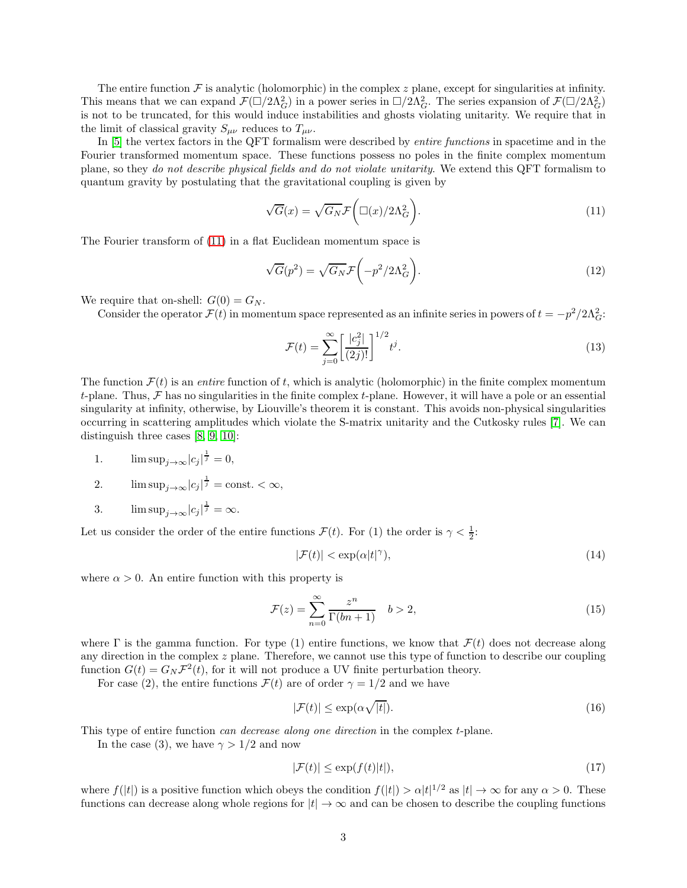The entire function  $\mathcal F$  is analytic (holomorphic) in the complex z plane, except for singularities at infinity. This means that we can expand  $\mathcal{F}(\Box/2\Lambda_G^2)$  in a power series in  $\Box/2\Lambda_G^2$ . The series expansion of  $\mathcal{F}(\Box/2\Lambda_G^2)$ is not to be truncated, for this would induce instabilities and ghosts violating unitarity. We require that in the limit of classical gravity  $S_{\mu\nu}$  reduces to  $T_{\mu\nu}$ .

In [\[5\]](#page-9-4) the vertex factors in the QFT formalism were described by *entire functions* in spacetime and in the Fourier transformed momentum space. These functions possess no poles in the finite complex momentum plane, so they *do not describe physical fields and do not violate unitarity*. We extend this QFT formalism to quantum gravity by postulating that the gravitational coupling is given by

<span id="page-2-0"></span>
$$
\sqrt{G}(x) = \sqrt{G_N} \mathcal{F}\left(\Box(x)/2\Lambda_G^2\right). \tag{11}
$$

The Fourier transform of [\(11\)](#page-2-0) in a flat Euclidean momentum space is

$$
\sqrt{G}(p^2) = \sqrt{G_N} \mathcal{F}\left(-p^2/2\Lambda_G^2\right).
$$
\n(12)

We require that on-shell:  $G(0) = G_N$ .

Consider the operator  $\mathcal{F}(t)$  in momentum space represented as an infinite series in powers of  $t = -p^2/2\Lambda_G^2$ :

$$
\mathcal{F}(t) = \sum_{j=0}^{\infty} \left[ \frac{|c_j^2|}{(2j)!} \right]^{1/2} t^j.
$$
\n(13)

The function  $\mathcal{F}(t)$  is an *entire* function of t, which is analytic (holomorphic) in the finite complex momentum t-plane. Thus,  $\mathcal F$  has no singularities in the finite complex t-plane. However, it will have a pole or an essential singularity at infinity, otherwise, by Liouville's theorem it is constant. This avoids non-physical singularities occurring in scattering amplitudes which violate the S-matrix unitarity and the Cutkosky rules [\[7\]](#page-9-6). We can distinguish three cases [\[8,](#page-9-7) [9,](#page-9-8) [10\]](#page-9-9):

1.  $\limsup_{j \to \infty} |c_j|^{\frac{1}{j}} = 0,$ 

2. 
$$
\limsup_{j \to \infty} |c_j|^{\frac{1}{j}} = \text{const.} < \infty,
$$

3.  $\limsup_{j\to\infty} |c_j|^{\frac{1}{j}} = \infty.$ 

Let us consider the order of the entire functions  $\mathcal{F}(t)$ . For (1) the order is  $\gamma < \frac{1}{2}$ :

$$
|\mathcal{F}(t)| < \exp(\alpha|t|^\gamma),\tag{14}
$$

where  $\alpha > 0$ . An entire function with this property is

$$
\mathcal{F}(z) = \sum_{n=0}^{\infty} \frac{z^n}{\Gamma(bn+1)}
$$
  $b > 2,$  (15)

where  $\Gamma$  is the gamma function. For type (1) entire functions, we know that  $\mathcal{F}(t)$  does not decrease along any direction in the complex  $z$  plane. Therefore, we cannot use this type of function to describe our coupling function  $G(t) = G_N \mathcal{F}^2(t)$ , for it will not produce a UV finite perturbation theory.

For case (2), the entire functions  $\mathcal{F}(t)$  are of order  $\gamma = 1/2$  and we have

$$
|\mathcal{F}(t)| \le \exp(\alpha \sqrt{|t|}).\tag{16}
$$

This type of entire function *can decrease along one direction* in the complex t-plane.

In the case (3), we have  $\gamma > 1/2$  and now

$$
|\mathcal{F}(t)| \le \exp(f(t)|t|),\tag{17}
$$

where  $f(|t|)$  is a positive function which obeys the condition  $f(|t|) > \alpha |t|^{1/2}$  as  $|t| \to \infty$  for any  $\alpha > 0$ . These functions can decrease along whole regions for  $|t| \to \infty$  and can be chosen to describe the coupling functions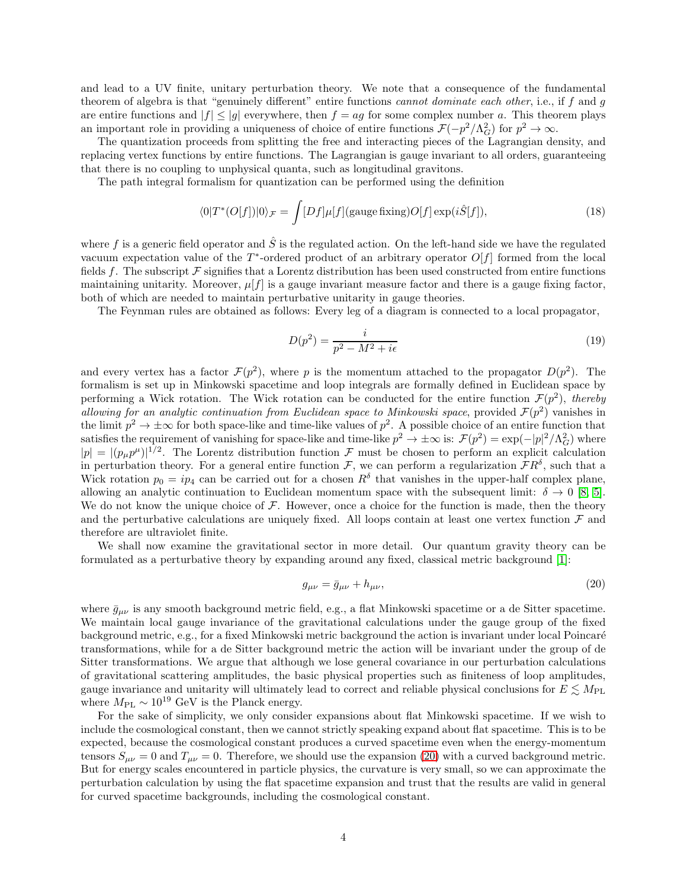and lead to a UV finite, unitary perturbation theory. We note that a consequence of the fundamental theorem of algebra is that "genuinely different" entire functions *cannot dominate each other*, i.e., if f and g are entire functions and  $|f| \le |g|$  everywhere, then  $f = ag$  for some complex number a. This theorem plays an important role in providing a uniqueness of choice of entire functions  $\mathcal{F}(-p^2/\Lambda_G^2)$  for  $p^2 \to \infty$ .

The quantization proceeds from splitting the free and interacting pieces of the Lagrangian density, and replacing vertex functions by entire functions. The Lagrangian is gauge invariant to all orders, guaranteeing that there is no coupling to unphysical quanta, such as longitudinal gravitons.

The path integral formalism for quantization can be performed using the definition

$$
\langle 0|T^*(O[f])|0\rangle_{\mathcal{F}} = \int [Df]\mu[f](\text{gauge fixing})O[f] \exp(i\hat{S}[f]),\tag{18}
$$

where f is a generic field operator and  $\hat{S}$  is the regulated action. On the left-hand side we have the regulated vacuum expectation value of the  $T^*$ -ordered product of an arbitrary operator  $O[f]$  formed from the local fields f. The subscript  $\mathcal F$  signifies that a Lorentz distribution has been used constructed from entire functions maintaining unitarity. Moreover,  $\mu[f]$  is a gauge invariant measure factor and there is a gauge fixing factor, both of which are needed to maintain perturbative unitarity in gauge theories.

The Feynman rules are obtained as follows: Every leg of a diagram is connected to a local propagator,

$$
D(p^2) = \frac{i}{p^2 - M^2 + i\epsilon} \tag{19}
$$

and every vertex has a factor  $\mathcal{F}(p^2)$ , where p is the momentum attached to the propagator  $D(p^2)$ . The formalism is set up in Minkowski spacetime and loop integrals are formally defined in Euclidean space by performing a Wick rotation. The Wick rotation can be conducted for the entire function  $\mathcal{F}(p^2)$ , *thereby allowing for an analytic continuation from Euclidean space to Minkowski space*, provided  $\mathcal{F}(p^2)$  vanishes in the limit  $p^2 \to \pm \infty$  for both space-like and time-like values of  $p^2$ . A possible choice of an entire function that satisfies the requirement of vanishing for space-like and time-like  $p^2 \to \pm \infty$  is:  $\mathcal{F}(p^2) = \exp(-|p|^2/\Lambda_G^2)$  where  $|p| = |(p_\mu p^\mu)|^{1/2}$ . The Lorentz distribution function  $\mathcal{F}$  must be chosen to perform an explicit calculation in perturbation theory. For a general entire function  $\mathcal{F}$ , we can perform a regularization  $\mathcal{F}R^{\delta}$ , such that a Wick rotation  $p_0 = ip_4$  can be carried out for a chosen  $R^{\delta}$  that vanishes in the upper-half complex plane, allowing an analytic continuation to Euclidean momentum space with the subsequent limit:  $\delta \to 0$  [\[8,](#page-9-7) [5\]](#page-9-4). We do not know the unique choice of  $\mathcal F$ . However, once a choice for the function is made, then the theory and the perturbative calculations are uniquely fixed. All loops contain at least one vertex function  $\mathcal F$  and therefore are ultraviolet finite.

We shall now examine the gravitational sector in more detail. Our quantum gravity theory can be formulated as a perturbative theory by expanding around any fixed, classical metric background [\[1\]](#page-9-0):

<span id="page-3-0"></span>
$$
g_{\mu\nu} = \bar{g}_{\mu\nu} + h_{\mu\nu},\tag{20}
$$

where  $\bar{g}_{\mu\nu}$  is any smooth background metric field, e.g., a flat Minkowski spacetime or a de Sitter spacetime. We maintain local gauge invariance of the gravitational calculations under the gauge group of the fixed background metric, e.g., for a fixed Minkowski metric background the action is invariant under local Poincaré transformations, while for a de Sitter background metric the action will be invariant under the group of de Sitter transformations. We argue that although we lose general covariance in our perturbation calculations of gravitational scattering amplitudes, the basic physical properties such as finiteness of loop amplitudes, gauge invariance and unitarity will ultimately lead to correct and reliable physical conclusions for  $E \leq M_{PL}$ where  $M_{\rm PL} \sim 10^{19}$  GeV is the Planck energy.

For the sake of simplicity, we only consider expansions about flat Minkowski spacetime. If we wish to include the cosmological constant, then we cannot strictly speaking expand about flat spacetime. This is to be expected, because the cosmological constant produces a curved spacetime even when the energy-momentum tensors  $S_{\mu\nu} = 0$  and  $T_{\mu\nu} = 0$ . Therefore, we should use the expansion [\(20\)](#page-3-0) with a curved background metric. But for energy scales encountered in particle physics, the curvature is very small, so we can approximate the perturbation calculation by using the flat spacetime expansion and trust that the results are valid in general for curved spacetime backgrounds, including the cosmological constant.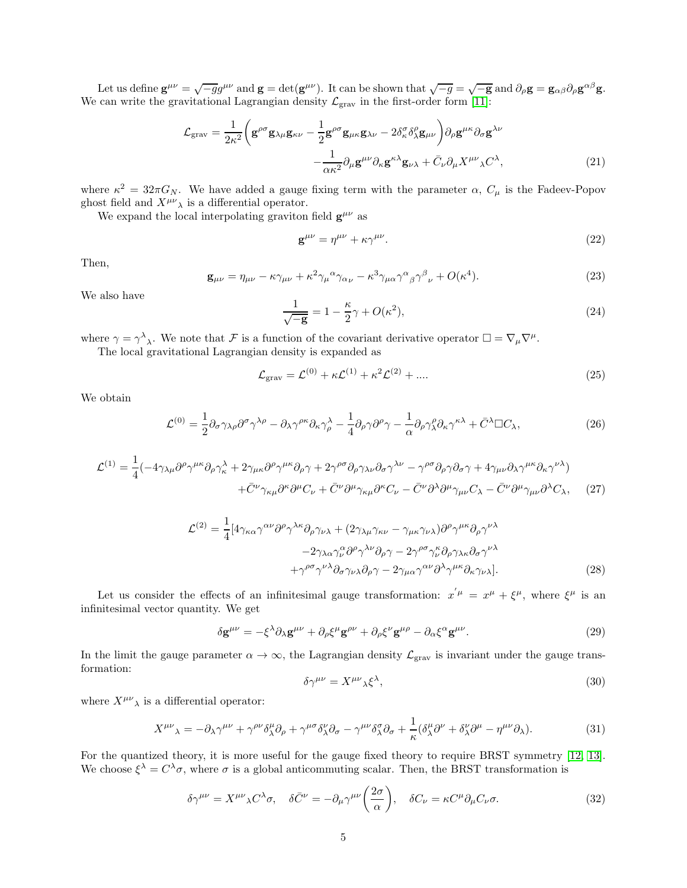Let us define  $\mathbf{g}^{\mu\nu} = \sqrt{-g}g^{\mu\nu}$  and  $\mathbf{g} = \det(\mathbf{g}^{\mu\nu})$ . It can be shown that  $\sqrt{-g} = \sqrt{-g}$  and  $\partial_{\rho}\mathbf{g} = \mathbf{g}_{\alpha\beta}\partial_{\rho}\mathbf{g}^{\alpha\beta}\mathbf{g}$ . We can write the gravitational Lagrangian density  $\mathcal{L}_{grav}$  in the first-order form [\[11\]](#page-9-10):

$$
\mathcal{L}_{\text{grav}} = \frac{1}{2\kappa^2} \left( \mathbf{g}^{\rho\sigma} \mathbf{g}_{\lambda\mu} \mathbf{g}_{\kappa\nu} - \frac{1}{2} \mathbf{g}^{\rho\sigma} \mathbf{g}_{\mu\kappa} \mathbf{g}_{\lambda\nu} - 2 \delta^{\sigma}_{\kappa} \delta^{\rho}_{\lambda} \mathbf{g}_{\mu\nu} \right) \partial_{\rho} \mathbf{g}^{\mu\kappa} \partial_{\sigma} \mathbf{g}^{\lambda\nu} - \frac{1}{\alpha \kappa^2} \partial_{\mu} \mathbf{g}^{\mu\nu} \partial_{\kappa} \mathbf{g}^{\kappa\lambda} \mathbf{g}_{\nu\lambda} + \bar{C}_{\nu} \partial_{\mu} X^{\mu\nu}{}_{\lambda} C^{\lambda},
$$
(21)

where  $\kappa^2 = 32\pi G_N$ . We have added a gauge fixing term with the parameter  $\alpha$ ,  $C_\mu$  is the Fadeev-Popov ghost field and  $X^{\mu\nu}$  is a differential operator.

We expand the local interpolating graviton field  $g^{\mu\nu}$  as

<span id="page-4-0"></span>
$$
\mathbf{g}^{\mu\nu} = \eta^{\mu\nu} + \kappa \gamma^{\mu\nu}.\tag{22}
$$

Then,

<span id="page-4-1"></span>
$$
\mathbf{g}_{\mu\nu} = \eta_{\mu\nu} - \kappa \gamma_{\mu\nu} + \kappa^2 \gamma_{\mu}{}^{\alpha} \gamma_{\alpha\nu} - \kappa^3 \gamma_{\mu\alpha} \gamma^{\alpha}{}_{\beta} \gamma^{\beta}{}_{\nu} + O(\kappa^4). \tag{23}
$$

We also have

<span id="page-4-2"></span>
$$
\frac{1}{\sqrt{-g}} = 1 - \frac{\kappa}{2}\gamma + O(\kappa^2),\tag{24}
$$

where  $\gamma = \gamma^{\lambda}{}_{\lambda}$ . We note that F is a function of the covariant derivative operator  $\square = \nabla_{\mu} \nabla^{\mu}$ .

The local gravitational Lagrangian density is expanded as

$$
\mathcal{L}_{\text{grav}} = \mathcal{L}^{(0)} + \kappa \mathcal{L}^{(1)} + \kappa^2 \mathcal{L}^{(2)} + \dots
$$
 (25)

We obtain

$$
\mathcal{L}^{(0)} = \frac{1}{2} \partial_{\sigma} \gamma_{\lambda \rho} \partial^{\sigma} \gamma^{\lambda \rho} - \partial_{\lambda} \gamma^{\rho \kappa} \partial_{\kappa} \gamma^{\lambda}_{\rho} - \frac{1}{4} \partial_{\rho} \gamma \partial^{\rho} \gamma - \frac{1}{\alpha} \partial_{\rho} \gamma^{\rho}_{\lambda} \partial_{\kappa} \gamma^{\kappa \lambda} + \bar{C}^{\lambda} \Box C_{\lambda}, \tag{26}
$$

$$
\mathcal{L}^{(1)} = \frac{1}{4} (-4\gamma_{\lambda\mu}\partial^{\rho}\gamma^{\mu\kappa}\partial_{\rho}\gamma^{\lambda}_{\kappa} + 2\gamma_{\mu\kappa}\partial^{\rho}\gamma^{\mu\kappa}\partial_{\rho}\gamma + 2\gamma^{\rho\sigma}\partial_{\rho}\gamma_{\lambda\nu}\partial_{\sigma}\gamma^{\lambda\nu} - \gamma^{\rho\sigma}\partial_{\rho}\gamma\partial_{\sigma}\gamma + 4\gamma_{\mu\nu}\partial_{\lambda}\gamma^{\mu\kappa}\partial_{\kappa}\gamma^{\nu\lambda}) + \bar{C}^{\nu}\gamma_{\kappa\mu}\partial^{\kappa}\partial^{\mu}C_{\nu} + \bar{C}^{\nu}\partial^{\mu}\gamma_{\kappa\mu}\partial^{\kappa}C_{\nu} - \bar{C}^{\nu}\partial^{\lambda}\partial^{\mu}\gamma_{\mu\nu}C_{\lambda} - \bar{C}^{\nu}\partial^{\mu}\gamma_{\mu\nu}\partial^{\lambda}C_{\lambda}, \quad (27)
$$

$$
\mathcal{L}^{(2)} = \frac{1}{4} [4\gamma_{\kappa\alpha} \gamma^{\alpha\nu} \partial^{\rho} \gamma^{\lambda\kappa} \partial_{\rho} \gamma_{\nu\lambda} + (2\gamma_{\lambda\mu} \gamma_{\kappa\nu} - \gamma_{\mu\kappa} \gamma_{\nu\lambda}) \partial^{\rho} \gamma^{\mu\kappa} \partial_{\rho} \gamma^{\nu\lambda} - 2\gamma_{\lambda\alpha} \gamma^{\alpha}_{\nu} \partial^{\rho} \gamma^{\lambda\nu} \partial_{\rho} \gamma - 2\gamma^{\rho\sigma} \gamma^{\kappa}_{\nu} \partial_{\rho} \gamma_{\lambda\kappa} \partial_{\sigma} \gamma^{\nu\lambda} + \gamma^{\rho\sigma} \gamma^{\nu\lambda} \partial_{\sigma} \gamma_{\nu\lambda} \partial_{\rho} \gamma - 2\gamma_{\mu\alpha} \gamma^{\alpha\nu} \partial^{\lambda} \gamma^{\mu\kappa} \partial_{\kappa} \gamma_{\nu\lambda}].
$$
\n(28)

Let us consider the effects of an infinitesimal gauge transformation:  $x^{'\mu} = x^{\mu} + \xi^{\mu}$ , where  $\xi^{\mu}$  is an infinitesimal vector quantity. We get

$$
\delta \mathbf{g}^{\mu\nu} = -\xi^{\lambda} \partial_{\lambda} \mathbf{g}^{\mu\nu} + \partial_{\rho} \xi^{\mu} \mathbf{g}^{\rho\nu} + \partial_{\rho} \xi^{\nu} \mathbf{g}^{\mu\rho} - \partial_{\alpha} \xi^{\alpha} \mathbf{g}^{\mu\nu}.
$$
 (29)

In the limit the gauge parameter  $\alpha \to \infty$ , the Lagrangian density  $\mathcal{L}_{grav}$  is invariant under the gauge transformation:

$$
\delta \gamma^{\mu\nu} = X^{\mu\nu}{}_{\lambda} \xi^{\lambda},\tag{30}
$$

where  $X^{\mu\nu}{}_{\lambda}$  is a differential operator:

$$
X^{\mu\nu}{}_{\lambda} = -\partial_{\lambda}\gamma^{\mu\nu} + \gamma^{\rho\nu}\delta^{\mu}_{\lambda}\partial_{\rho} + \gamma^{\mu\sigma}\delta^{\nu}_{\lambda}\partial_{\sigma} - \gamma^{\mu\nu}\delta^{\sigma}_{\lambda}\partial_{\sigma} + \frac{1}{\kappa}(\delta^{\mu}_{\lambda}\partial^{\nu} + \delta^{\nu}_{\lambda}\partial^{\mu} - \eta^{\mu\nu}\partial_{\lambda}).
$$
 (31)

For the quantized theory, it is more useful for the gauge fixed theory to require BRST symmetry [\[12,](#page-10-0) [13\]](#page-10-1). We choose  $\xi^{\lambda} = C^{\lambda} \sigma$ , where  $\sigma$  is a global anticommuting scalar. Then, the BRST transformation is

$$
\delta \gamma^{\mu\nu} = X^{\mu\nu}{}_{\lambda} C^{\lambda} \sigma, \quad \delta \bar{C}^{\nu} = -\partial_{\mu} \gamma^{\mu\nu} \left( \frac{2\sigma}{\alpha} \right), \quad \delta C_{\nu} = \kappa C^{\mu} \partial_{\mu} C_{\nu} \sigma. \tag{32}
$$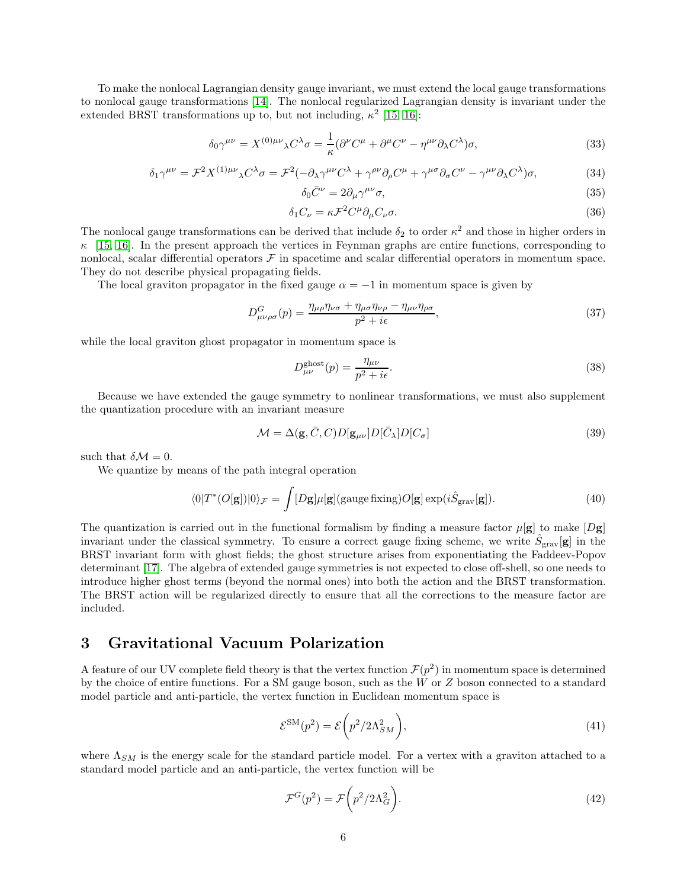To make the nonlocal Lagrangian density gauge invariant, we must extend the local gauge transformations to nonlocal gauge transformations [\[14\]](#page-10-2). The nonlocal regularized Lagrangian density is invariant under the extended BRST transformations up to, but not including,  $\kappa^2$  [\[15,](#page-10-3) [16\]](#page-10-4):

$$
\delta_0 \gamma^{\mu\nu} = X^{(0)\mu\nu}{}_{\lambda} C^{\lambda} \sigma = \frac{1}{\kappa} (\partial^{\nu} C^{\mu} + \partial^{\mu} C^{\nu} - \eta^{\mu\nu} \partial_{\lambda} C^{\lambda}) \sigma,
$$
\n(33)

$$
\delta_1 \gamma^{\mu\nu} = \mathcal{F}^2 X^{(1)\mu\nu}{}_{\lambda} C^{\lambda} \sigma = \mathcal{F}^2 (-\partial_{\lambda} \gamma^{\mu\nu} C^{\lambda} + \gamma^{\rho\nu} \partial_{\rho} C^{\mu} + \gamma^{\mu\sigma} \partial_{\sigma} C^{\nu} - \gamma^{\mu\nu} \partial_{\lambda} C^{\lambda}) \sigma,
$$
(34)

$$
\delta_0 \bar{C}^\nu = 2 \partial_\mu \gamma^{\mu\nu} \sigma,\tag{35}
$$

$$
\delta_1 C_\nu = \kappa \mathcal{F}^2 C^\mu \partial_\mu C_\nu \sigma. \tag{36}
$$

The nonlocal gauge transformations can be derived that include  $\delta_2$  to order  $\kappa^2$  and those in higher orders in  $\kappa$  [\[15,](#page-10-3) [16\]](#page-10-4). In the present approach the vertices in Feynman graphs are entire functions, corresponding to nonlocal, scalar differential operators  $F$  in spacetime and scalar differential operators in momentum space. They do not describe physical propagating fields.

The local graviton propagator in the fixed gauge  $\alpha = -1$  in momentum space is given by

$$
D_{\mu\nu\rho\sigma}^{G}(p) = \frac{\eta_{\mu\rho}\eta_{\nu\sigma} + \eta_{\mu\sigma}\eta_{\nu\rho} - \eta_{\mu\nu}\eta_{\rho\sigma}}{p^2 + i\epsilon},
$$
\n(37)

while the local graviton ghost propagator in momentum space is

$$
D_{\mu\nu}^{\text{ghost}}(p) = \frac{\eta_{\mu\nu}}{p^2 + i\epsilon}.\tag{38}
$$

Because we have extended the gauge symmetry to nonlinear transformations, we must also supplement the quantization procedure with an invariant measure

$$
\mathcal{M} = \Delta(\mathbf{g}, \bar{C}, C) D[\mathbf{g}_{\mu\nu}] D[\bar{C}_{\lambda}] D[C_{\sigma}]
$$
\n(39)

such that  $\delta \mathcal{M} = 0$ .

We quantize by means of the path integral operation

$$
\langle 0|T^*(O[\mathbf{g}])|0\rangle_{\mathcal{F}} = \int [D\mathbf{g}]\mu[\mathbf{g}](\text{gauge fixing})O[\mathbf{g}]\exp(i\hat{S}_{\text{grav}}[\mathbf{g}]). \tag{40}
$$

The quantization is carried out in the functional formalism by finding a measure factor  $\mu[\mathbf{g}]$  to make  $[D\mathbf{g}]$ invariant under the classical symmetry. To ensure a correct gauge fixing scheme, we write  $\hat{S}_{\text{grav}}[\mathbf{g}]$  in the BRST invariant form with ghost fields; the ghost structure arises from exponentiating the Faddeev-Popov determinant [\[17\]](#page-10-5). The algebra of extended gauge symmetries is not expected to close off-shell, so one needs to introduce higher ghost terms (beyond the normal ones) into both the action and the BRST transformation. The BRST action will be regularized directly to ensure that all the corrections to the measure factor are included.

## 3 Gravitational Vacuum Polarization

A feature of our UV complete field theory is that the vertex function  $\mathcal{F}(p^2)$  in momentum space is determined by the choice of entire functions. For a SM gauge boson, such as the  $W$  or  $Z$  boson connected to a standard model particle and anti-particle, the vertex function in Euclidean momentum space is

$$
\mathcal{E}^{\text{SM}}(p^2) = \mathcal{E}\left(p^2/2\Lambda_{SM}^2\right),\tag{41}
$$

where  $\Lambda_{SM}$  is the energy scale for the standard particle model. For a vertex with a graviton attached to a standard model particle and an anti-particle, the vertex function will be

$$
\mathcal{F}^G(p^2) = \mathcal{F}\left(p^2/2\Lambda_G^2\right). \tag{42}
$$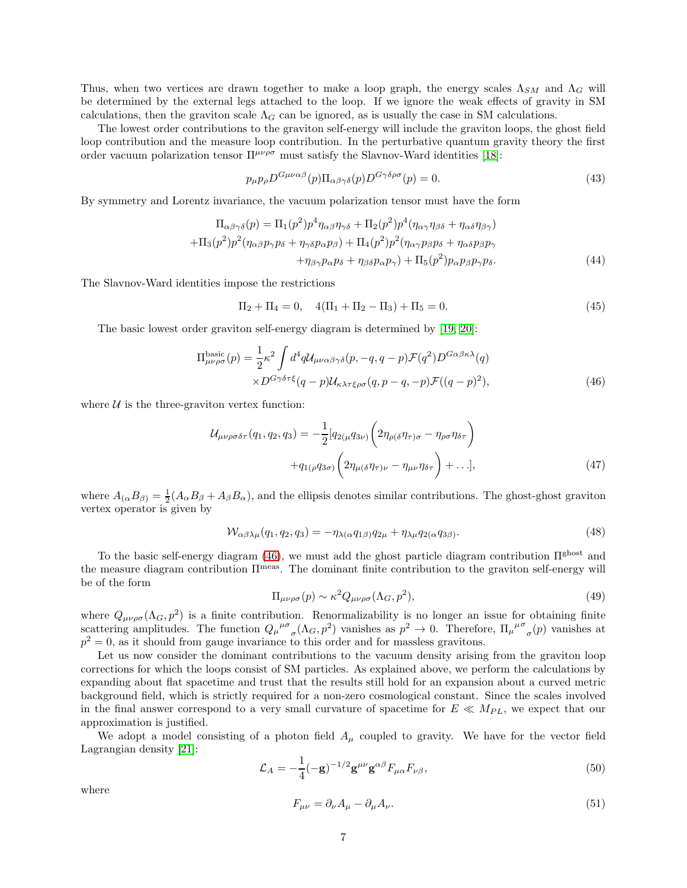Thus, when two vertices are drawn together to make a loop graph, the energy scales  $\Lambda_{SM}$  and  $\Lambda_G$  will be determined by the external legs attached to the loop. If we ignore the weak effects of gravity in SM calculations, then the graviton scale  $\Lambda_G$  can be ignored, as is usually the case in SM calculations.

The lowest order contributions to the graviton self-energy will include the graviton loops, the ghost field loop contribution and the measure loop contribution. In the perturbative quantum gravity theory the first order vacuum polarization tensor  $\Pi^{\mu\nu\rho\sigma}$  must satisfy the Slavnov-Ward identities [\[18\]](#page-10-6):

$$
p_{\mu}p_{\rho}D^{G\mu\nu\alpha\beta}(p)\Pi_{\alpha\beta\gamma\delta}(p)D^{G\gamma\delta\rho\sigma}(p) = 0.
$$
\n(43)

By symmetry and Lorentz invariance, the vacuum polarization tensor must have the form

$$
\Pi_{\alpha\beta\gamma\delta}(p) = \Pi_1(p^2)p^4\eta_{\alpha\beta}\eta_{\gamma\delta} + \Pi_2(p^2)p^4(\eta_{\alpha\gamma}\eta_{\beta\delta} + \eta_{\alpha\delta}\eta_{\beta\gamma}) \n+ \Pi_3(p^2)p^2(\eta_{\alpha\beta}p_{\gamma}p_{\delta} + \eta_{\gamma\delta}p_{\alpha}p_{\beta}) + \Pi_4(p^2)p^2(\eta_{\alpha\gamma}p_{\beta}p_{\delta} + \eta_{\alpha\delta}p_{\beta}p_{\gamma} \n+ \eta_{\beta\gamma}p_{\alpha}p_{\delta} + \eta_{\beta\delta}p_{\alpha}p_{\gamma}) + \Pi_5(p^2)p_{\alpha}p_{\beta}p_{\gamma}p_{\delta}.
$$
\n(44)

The Slavnov-Ward identities impose the restrictions

<span id="page-6-0"></span>
$$
\Pi_2 + \Pi_4 = 0, \quad 4(\Pi_1 + \Pi_2 - \Pi_3) + \Pi_5 = 0.
$$
\n(45)

The basic lowest order graviton self-energy diagram is determined by [\[19,](#page-10-7) [20\]](#page-10-8):

$$
\Pi_{\mu\nu\rho\sigma}^{\text{basic}}(p) = \frac{1}{2} \kappa^2 \int d^4 q \mathcal{U}_{\mu\nu\alpha\beta\gamma\delta}(p, -q, q-p) \mathcal{F}(q^2) D^{G\alpha\beta\kappa\lambda}(q)
$$

$$
\times D^{G\gamma\delta\tau\xi}(q-p) \mathcal{U}_{\kappa\lambda\tau\xi\rho\sigma}(q, p-q, -p) \mathcal{F}((q-p)^2), \tag{46}
$$

where  $U$  is the three-graviton vertex function:

$$
\mathcal{U}_{\mu\nu\rho\sigma\delta\tau}(q_1, q_2, q_3) = -\frac{1}{2} \left[ q_{2(\mu} q_{3\nu)} \left( 2\eta_{\rho(\delta)} \eta_{\tau)\sigma} - \eta_{\rho\sigma} \eta_{\delta\tau} \right) + q_{1(\rho} q_{3\sigma)} \left( 2\eta_{\mu(\delta)} \eta_{\tau)\nu} - \eta_{\mu\nu} \eta_{\delta\tau} \right) + \dots \right],
$$
\n(47)

where  $A_{(\alpha}B_{\beta)} = \frac{1}{2}(A_{\alpha}B_{\beta} + A_{\beta}B_{\alpha})$ , and the ellipsis denotes similar contributions. The ghost-ghost graviton vertex operator is given by

$$
W_{\alpha\beta\lambda\mu}(q_1, q_2, q_3) = -\eta_{\lambda(\alpha}q_{1\beta})q_{2\mu} + \eta_{\lambda\mu}q_{2(\alpha}q_{3\beta)}.
$$
\n(48)

To the basic self-energy diagram [\(46\)](#page-6-0), we must add the ghost particle diagram contribution Πghost and the measure diagram contribution Πmeas. The dominant finite contribution to the graviton self-energy will be of the form

$$
\Pi_{\mu\nu\rho\sigma}(p) \sim \kappa^2 Q_{\mu\nu\rho\sigma}(\Lambda_G, p^2),\tag{49}
$$

where  $Q_{\mu\nu\rho\sigma}(\Lambda_G, p^2)$  is a finite contribution. Renormalizability is no longer an issue for obtaining finite scattering amplitudes. The function  $Q_\mu{}^{\mu\sigma}{}_\sigma(\Lambda_G, p^2)$  vanishes as  $p^2 \to 0$ . Therefore,  $\Pi_\mu{}^{\mu\sigma}{}_\sigma(p)$  vanishes at  $p^2 = 0$ , as it should from gauge invariance to this order and for massless gravitons.

Let us now consider the dominant contributions to the vacuum density arising from the graviton loop corrections for which the loops consist of SM particles. As explained above, we perform the calculations by expanding about flat spacetime and trust that the results still hold for an expansion about a curved metric background field, which is strictly required for a non-zero cosmological constant. Since the scales involved in the final answer correspond to a very small curvature of spacetime for  $E \ll M_{PL}$ , we expect that our approximation is justified.

We adopt a model consisting of a photon field  $A_\mu$  coupled to gravity. We have for the vector field Lagrangian density [\[21\]](#page-10-9):

<span id="page-6-1"></span>
$$
\mathcal{L}_A = -\frac{1}{4}(-\mathbf{g})^{-1/2} \mathbf{g}^{\mu\nu} \mathbf{g}^{\alpha\beta} F_{\mu\alpha} F_{\nu\beta},\tag{50}
$$

where

$$
F_{\mu\nu} = \partial_{\nu}A_{\mu} - \partial_{\mu}A_{\nu}.
$$
\n(51)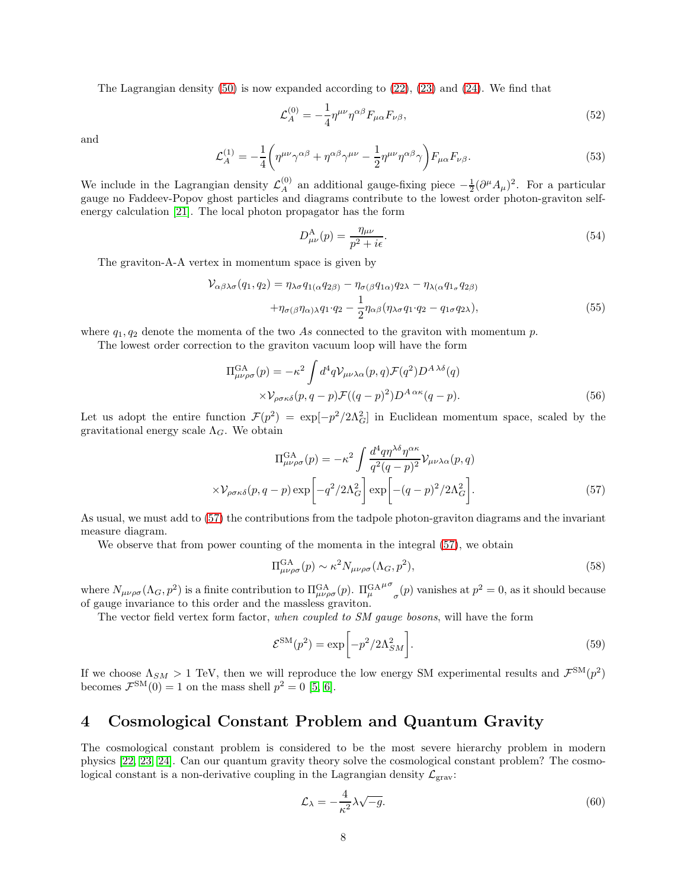The Lagrangian density  $(50)$  is now expanded according to  $(22)$ ,  $(23)$  and  $(24)$ . We find that

$$
\mathcal{L}_A^{(0)} = -\frac{1}{4} \eta^{\mu\nu} \eta^{\alpha\beta} F_{\mu\alpha} F_{\nu\beta},\tag{52}
$$

and

$$
\mathcal{L}_A^{(1)} = -\frac{1}{4} \left( \eta^{\mu\nu} \gamma^{\alpha\beta} + \eta^{\alpha\beta} \gamma^{\mu\nu} - \frac{1}{2} \eta^{\mu\nu} \eta^{\alpha\beta} \gamma \right) F_{\mu\alpha} F_{\nu\beta}.
$$
 (53)

We include in the Lagrangian density  $\mathcal{L}_A^{(0)}$  $A^{(0)}_A$  an additional gauge-fixing piece  $-\frac{1}{2}(\partial^{\mu}A_{\mu})^2$ . For a particular gauge no Faddeev-Popov ghost particles and diagrams contribute to the lowest order photon-graviton selfenergy calculation [\[21\]](#page-10-9). The local photon propagator has the form

$$
D_{\mu\nu}^{\mathcal{A}}(p) = \frac{\eta_{\mu\nu}}{p^2 + i\epsilon}.\tag{54}
$$

The graviton-A-A vertex in momentum space is given by

$$
\mathcal{V}_{\alpha\beta\lambda\sigma}(q_1, q_2) = \eta_{\lambda\sigma} q_{1(\alpha} q_{2\beta)} - \eta_{\sigma(\beta} q_{1\alpha)} q_{2\lambda} - \eta_{\lambda(\alpha} q_{1\sigma} q_{2\beta)} \n+ \eta_{\sigma(\beta} \eta_{\alpha)\lambda} q_1 \cdot q_2 - \frac{1}{2} \eta_{\alpha\beta} (\eta_{\lambda\sigma} q_1 \cdot q_2 - q_{1\sigma} q_{2\lambda}),
$$
\n(55)

where  $q_1, q_2$  denote the momenta of the two As connected to the graviton with momentum p.

The lowest order correction to the graviton vacuum loop will have the form

$$
\Pi_{\mu\nu\rho\sigma}^{GA}(p) = -\kappa^2 \int d^4q \mathcal{V}_{\mu\nu\lambda\alpha}(p,q) \mathcal{F}(q^2) D^{A\lambda\delta}(q)
$$

$$
\times \mathcal{V}_{\rho\sigma\kappa\delta}(p,q-p) \mathcal{F}((q-p)^2) D^{A\alpha\kappa}(q-p). \tag{56}
$$

Let us adopt the entire function  $\mathcal{F}(p^2) = \exp[-p^2/2\Lambda_G^2]$  in Euclidean momentum space, scaled by the gravitational energy scale  $\Lambda_G$ . We obtain

$$
\Pi_{\mu\nu\rho\sigma}^{\text{GA}}(p) = -\kappa^2 \int \frac{d^4 q \eta^{\lambda\delta} \eta^{\alpha\kappa}}{q^2 (q - p)^2} \mathcal{V}_{\mu\nu\lambda\alpha}(p, q)
$$

$$
\times \mathcal{V}_{\rho\sigma\kappa\delta}(p, q - p) \exp\left[-q^2/2\Lambda_G^2\right] \exp\left[-(q - p)^2/2\Lambda_G^2\right].
$$
(57)

As usual, we must add to [\(57\)](#page-7-0) the contributions from the tadpole photon-graviton diagrams and the invariant measure diagram.

We observe that from power counting of the momenta in the integral  $(57)$ , we obtain

<span id="page-7-0"></span>
$$
\Pi_{\mu\nu\rho\sigma}^{\text{GA}}(p) \sim \kappa^2 N_{\mu\nu\rho\sigma}(\Lambda_G, p^2),\tag{58}
$$

where  $N_{\mu\nu\rho\sigma}(\Lambda_G, p^2)$  is a finite contribution to  $\Pi_{\mu\nu\rho\sigma}^{GA}(p)$ .  $\Pi_{\mu}^{GA}$  $μσ$  $_{\sigma}(p)$  vanishes at  $p^2 = 0$ , as it should because of gauge invariance to this order and the massless graviton.

The vector field vertex form factor, *when coupled to SM gauge bosons*, will have the form

$$
\mathcal{E}^{\text{SM}}(p^2) = \exp\left[-p^2/2\Lambda_{SM}^2\right].\tag{59}
$$

If we choose  $\Lambda_{SM} > 1$  TeV, then we will reproduce the low energy SM experimental results and  $\mathcal{F}^{SM}(p^2)$ becomes  $\mathcal{F}^{\text{SM}}(0) = 1$  on the mass shell  $p^2 = 0$  [\[5,](#page-9-4) [6\]](#page-9-5).

## 4 Cosmological Constant Problem and Quantum Gravity

The cosmological constant problem is considered to be the most severe hierarchy problem in modern physics [\[22,](#page-10-10) [23,](#page-10-11) [24\]](#page-10-12). Can our quantum gravity theory solve the cosmological constant problem? The cosmological constant is a non-derivative coupling in the Lagrangian density  $\mathcal{L}_{grav}$ :

<span id="page-7-1"></span>
$$
\mathcal{L}_{\lambda} = -\frac{4}{\kappa^2} \lambda \sqrt{-g}.\tag{60}
$$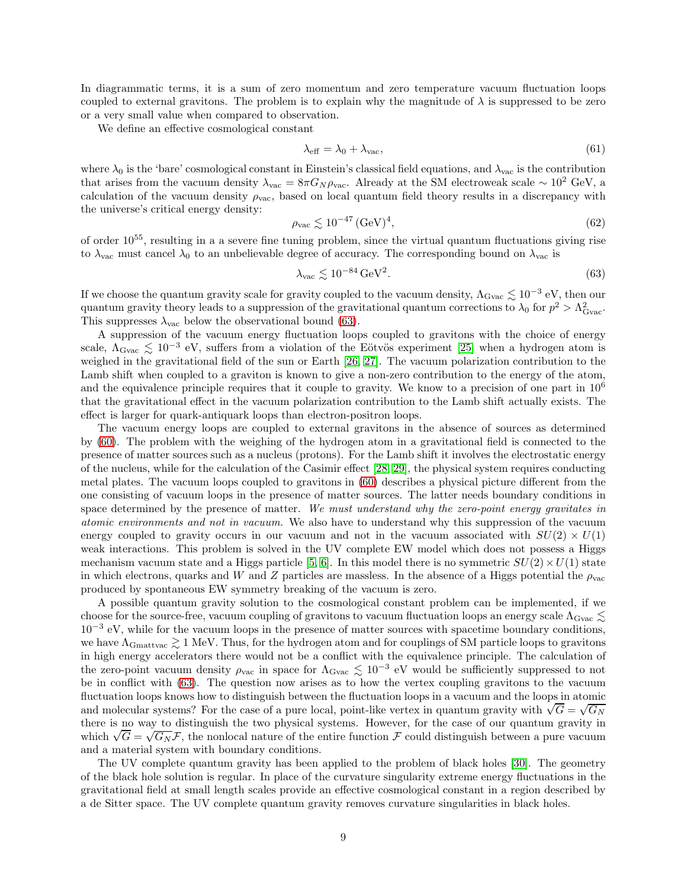In diagrammatic terms, it is a sum of zero momentum and zero temperature vacuum fluctuation loops coupled to external gravitons. The problem is to explain why the magnitude of  $\lambda$  is suppressed to be zero or a very small value when compared to observation.

We define an effective cosmological constant

$$
\lambda_{\text{eff}} = \lambda_0 + \lambda_{\text{vac}},\tag{61}
$$

where  $\lambda_0$  is the 'bare' cosmological constant in Einstein's classical field equations, and  $\lambda_{\text{vac}}$  is the contribution that arises from the vacuum density  $\lambda_{\text{vac}} = 8\pi G_N \rho_{\text{vac}}$ . Already at the SM electroweak scale ~ 10<sup>2</sup> GeV, a calculation of the vacuum density  $\rho_{\text{vac}}$ , based on local quantum field theory results in a discrepancy with the universe's critical energy density:

$$
\rho_{\rm vac} \lesssim 10^{-47} \, (\text{GeV})^4,\tag{62}
$$

of order 10<sup>55</sup>, resulting in a a severe fine tuning problem, since the virtual quantum fluctuations giving rise to  $\lambda_{\text{vac}}$  must cancel  $\lambda_0$  to an unbelievable degree of accuracy. The corresponding bound on  $\lambda_{\text{vac}}$  is

<span id="page-8-0"></span>
$$
\lambda_{\rm vac} \lesssim 10^{-84} \,\text{GeV}^2. \tag{63}
$$

If we choose the quantum gravity scale for gravity coupled to the vacuum density,  $\Lambda_{\rm Gvac} \lesssim 10^{-3}$  eV, then our quantum gravity theory leads to a suppression of the gravitational quantum corrections to  $\lambda_0$  for  $p^2 > \Lambda_{\text{Gvac}}^2$ . This suppresses  $\lambda_{\text{vac}}$  below the observational bound [\(63\)](#page-8-0).

A suppression of the vacuum energy fluctuation loops coupled to gravitons with the choice of energy scale,  $\Lambda_{\text{Gvac}} \lesssim 10^{-3}$  eV, suffers from a violation of the Eötvös experiment [\[25\]](#page-10-13) when a hydrogen atom is weighed in the gravitational field of the sun or Earth [\[26,](#page-10-14) [27\]](#page-10-15). The vacuum polarization contribution to the Lamb shift when coupled to a graviton is known to give a non-zero contribution to the energy of the atom, and the equivalence principle requires that it couple to gravity. We know to a precision of one part in  $10<sup>6</sup>$ that the gravitational effect in the vacuum polarization contribution to the Lamb shift actually exists. The effect is larger for quark-antiquark loops than electron-positron loops.

The vacuum energy loops are coupled to external gravitons in the absence of sources as determined by [\(60\)](#page-7-1). The problem with the weighing of the hydrogen atom in a gravitational field is connected to the presence of matter sources such as a nucleus (protons). For the Lamb shift it involves the electrostatic energy of the nucleus, while for the calculation of the Casimir effect [\[28,](#page-10-16) [29\]](#page-10-17), the physical system requires conducting metal plates. The vacuum loops coupled to gravitons in [\(60\)](#page-7-1) describes a physical picture different from the one consisting of vacuum loops in the presence of matter sources. The latter needs boundary conditions in space determined by the presence of matter. *We must understand why the zero-point energy gravitates in atomic environments and not in vacuum.* We also have to understand why this suppression of the vacuum energy coupled to gravity occurs in our vacuum and not in the vacuum associated with  $SU(2) \times U(1)$ weak interactions. This problem is solved in the UV complete EW model which does not possess a Higgs mechanism vacuum state and a Higgs particle [\[5,](#page-9-4) [6\]](#page-9-5). In this model there is no symmetric  $SU(2) \times U(1)$  state in which electrons, quarks and W and Z particles are massless. In the absence of a Higgs potential the  $\rho_{\text{vac}}$ produced by spontaneous EW symmetry breaking of the vacuum is zero.

A possible quantum gravity solution to the cosmological constant problem can be implemented, if we choose for the source-free, vacuum coupling of gravitons to vacuum fluctuation loops an energy scale  $\Lambda_{\rm Gvac} \lesssim$ 10<sup>−</sup><sup>3</sup> eV, while for the vacuum loops in the presence of matter sources with spacetime boundary conditions, we have  $\Lambda_{\rm Gmattvac} \gtrsim 1$  MeV. Thus, for the hydrogen atom and for couplings of SM particle loops to gravitons in high energy accelerators there would not be a conflict with the equivalence principle. The calculation of the zero-point vacuum density  $\rho_{\rm vac}$  in space for  $\Lambda_{\rm Gvac} \lesssim 10^{-3}$  eV would be sufficiently suppressed to not be in conflict with [\(63\)](#page-8-0). The question now arises as to how the vertex coupling gravitons to the vacuum fluctuation loops knows how to distinguish between the fluctuation loops in a vacuum and the loops in atomic and molecular systems? For the case of a pure local, point-like vertex in quantum gravity with  $\sqrt{G} = \sqrt{G_N}$ there is no way to distinguish the two physical systems. However, for the case of our quantum gravity in which  $\sqrt{G} = \sqrt{G_N} \mathcal{F}$ , the nonlocal nature of the entire function  $\mathcal{F}$  could distinguish between a pure vacuum and a material system with boundary conditions.

The UV complete quantum gravity has been applied to the problem of black holes [\[30\]](#page-10-18). The geometry of the black hole solution is regular. In place of the curvature singularity extreme energy fluctuations in the gravitational field at small length scales provide an effective cosmological constant in a region described by a de Sitter space. The UV complete quantum gravity removes curvature singularities in black holes.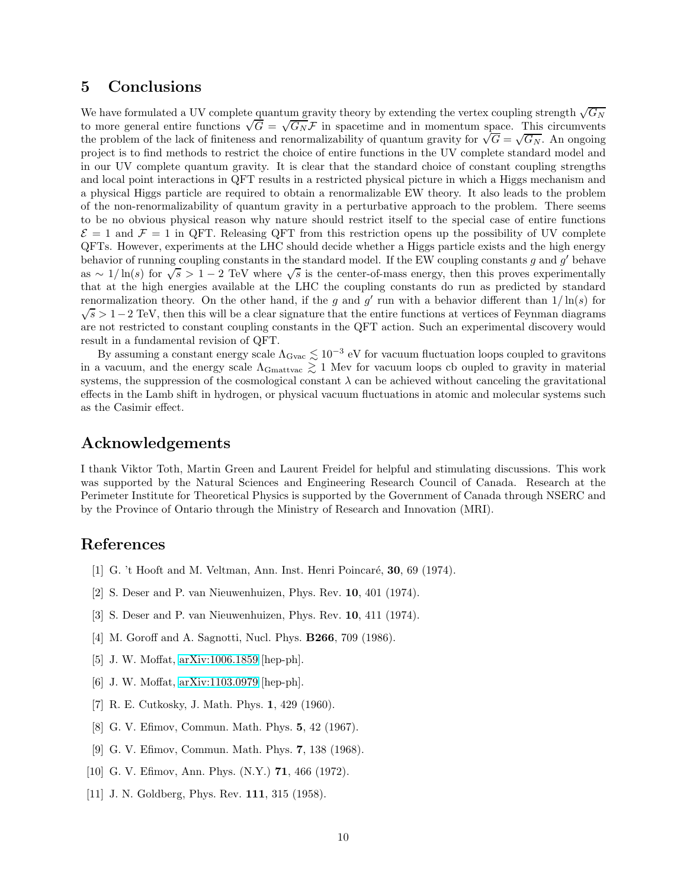## 5 Conclusions

We have formulated a UV complete quantum gravity theory by extending the vertex coupling strength  $\sqrt{G_N}$ to more general entire functions  $\sqrt{G} = \sqrt{G_N} \mathcal{F}$  in spacetime and in momentum space. This circumvents the problem of the lack of finiteness and renormalizability of quantum gravity for  $\sqrt{G} = \sqrt{G_N}$ . An ongoing project is to find methods to restrict the choice of entire functions in the UV complete standard model and in our UV complete quantum gravity. It is clear that the standard choice of constant coupling strengths and local point interactions in QFT results in a restricted physical picture in which a Higgs mechanism and a physical Higgs particle are required to obtain a renormalizable EW theory. It also leads to the problem of the non-renormalizability of quantum gravity in a perturbative approach to the problem. There seems to be no obvious physical reason why nature should restrict itself to the special case of entire functions  $\mathcal{E} = 1$  and  $\mathcal{F} = 1$  in QFT. Releasing QFT from this restriction opens up the possibility of UV complete QFTs. However, experiments at the LHC should decide whether a Higgs particle exists and the high energy behavior of running coupling constants in the standard model. If the EW coupling constants g and  $g'$  behave as ~  $1/\ln(s)$  for  $\sqrt{s} > 1-2$  TeV where  $\sqrt{s}$  is the center-of-mass energy, then this proves experimentally that at the high energies available at the LHC the coupling constants do run as predicted by standard renormalization theory. On the other hand, if the g and g' run with a behavior different than  $1/\ln(s)$  for  $\sqrt{s} > 1-2$  TeV, then this will be a clear signature that the entire functions at vertices of Feynman diagrams are not restricted to constant coupling constants in the QFT action. Such an experimental discovery would result in a fundamental revision of QFT.

By assuming a constant energy scale  $\Lambda_{\rm Gvac} \lesssim 10^{-3}$  eV for vacuum fluctuation loops coupled to gravitons in a vacuum, and the energy scale  $\Lambda_{\rm Gmattvac} \gtrsim 1$  Mev for vacuum loops cb oupled to gravity in material systems, the suppression of the cosmological constant  $\lambda$  can be achieved without canceling the gravitational effects in the Lamb shift in hydrogen, or physical vacuum fluctuations in atomic and molecular systems such as the Casimir effect.

## Acknowledgements

I thank Viktor Toth, Martin Green and Laurent Freidel for helpful and stimulating discussions. This work was supported by the Natural Sciences and Engineering Research Council of Canada. Research at the Perimeter Institute for Theoretical Physics is supported by the Government of Canada through NSERC and by the Province of Ontario through the Ministry of Research and Innovation (MRI).

## <span id="page-9-0"></span>References

- <span id="page-9-1"></span>[1] G. 't Hooft and M. Veltman, Ann. Inst. Henri Poincaré,  $30, 69$  (1974).
- <span id="page-9-2"></span>[2] S. Deser and P. van Nieuwenhuizen, Phys. Rev. 10, 401 (1974).
- <span id="page-9-3"></span>[3] S. Deser and P. van Nieuwenhuizen, Phys. Rev. 10, 411 (1974).
- <span id="page-9-4"></span>[4] M. Goroff and A. Sagnotti, Nucl. Phys. B266, 709 (1986).
- <span id="page-9-5"></span>[5] J. W. Moffat, [arXiv:1006.1859](http://arxiv.org/abs/1006.1859) [hep-ph].
- <span id="page-9-6"></span>[6] J. W. Moffat, [arXiv:1103.0979](http://arxiv.org/abs/1103.0979) [hep-ph].
- <span id="page-9-7"></span>[7] R. E. Cutkosky, J. Math. Phys. 1, 429 (1960).
- <span id="page-9-8"></span>[8] G. V. Efimov, Commun. Math. Phys. 5, 42 (1967).
- <span id="page-9-9"></span>[9] G. V. Efimov, Commun. Math. Phys. 7, 138 (1968).
- <span id="page-9-10"></span>[10] G. V. Efimov, Ann. Phys. (N.Y.) **71**, 466 (1972).
- [11] J. N. Goldberg, Phys. Rev. **111**, 315 (1958).